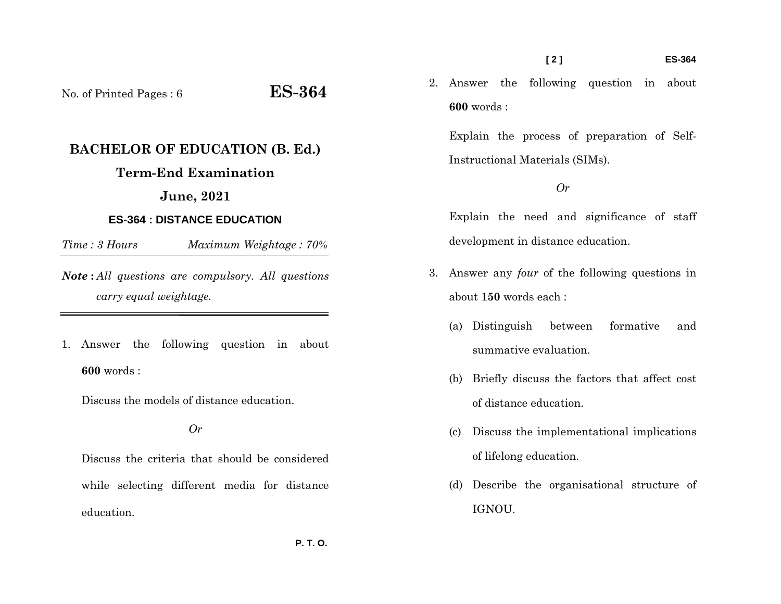#### **[ 2 ] ES-364**

2. Answer the following question in about **600** words :

Explain the process of preparation of Self-Instructional Materials (SIMs).

### *Or*

Explain the need and significance of staff development in distance education.

- 3. Answer any *four* of the following questions in about **150** words each :
	- (a) Distinguish between formative and summative evaluation.
	- (b) Briefly discuss the factors that affect cost of distance education.
	- (c) Discuss the implementational implications of lifelong education.
	- (d) Describe the organisational structure of IGNOU.

No. of Printed Pages : 6 **ES-364**

# **BACHELOR OF EDUCATION (B. Ed.)**

# **Term-End Examination**

# **June, 2021**

# **ES-364 : DISTANCE EDUCATION**

*Time : 3 HoursMaximum Weightage : 70%* 

*Note* **:** *All questions are compulsory. All questions carry equal weightage.*

1. Answer the following question in about **600** words :

Discuss the models of distance education.

*Or* 

Discuss the criteria that should be considered while selecting different media for distance education.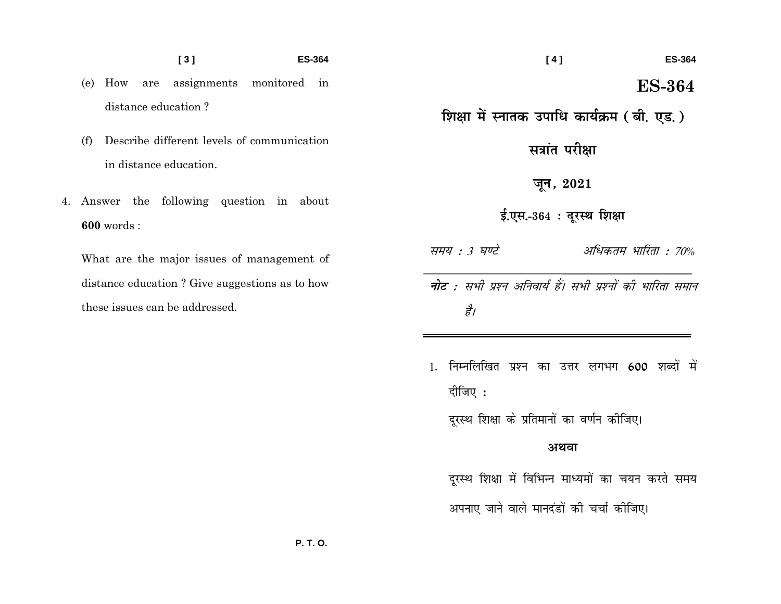#### $[3]$ **ES-364**

- (e) How are assignments monitored in distance education?
- Describe different levels of communication  $(f)$ in distance education.
- 4. Answer the following question in about  $600$  words:

What are the major issues of management of distance education? Give suggestions as to how these issues can be addressed.

शिक्षा में स्नातक उपाधि कार्यक्रम (बी. एड.)

**ES-364** 

**ES-364** 

 $[4]$ 

सत्रांत परीक्षा

जून, 2021

ई.एस.-364: दूरस्थ शिक्षा

अधिकतम भारिता : 70% समय : 3 घण्टे

- **नोट** : सभी प्रश्न अनिवार्य हैं। सभी प्रश्नों की भारिता समान है।
- 1. निम्नलिखित प्रश्न का उत्तर लगभग 600 शब्दों में दीजिए :

दूरस्थ शिक्षा के प्रतिमानों का वर्णन कीजिए।

## अथवा

दुरस्थ शिक्षा में विभिन्न माध्यमों का चयन करते समय

अपनाए जाने वाले मानदंडों की चर्चा कीजिए।